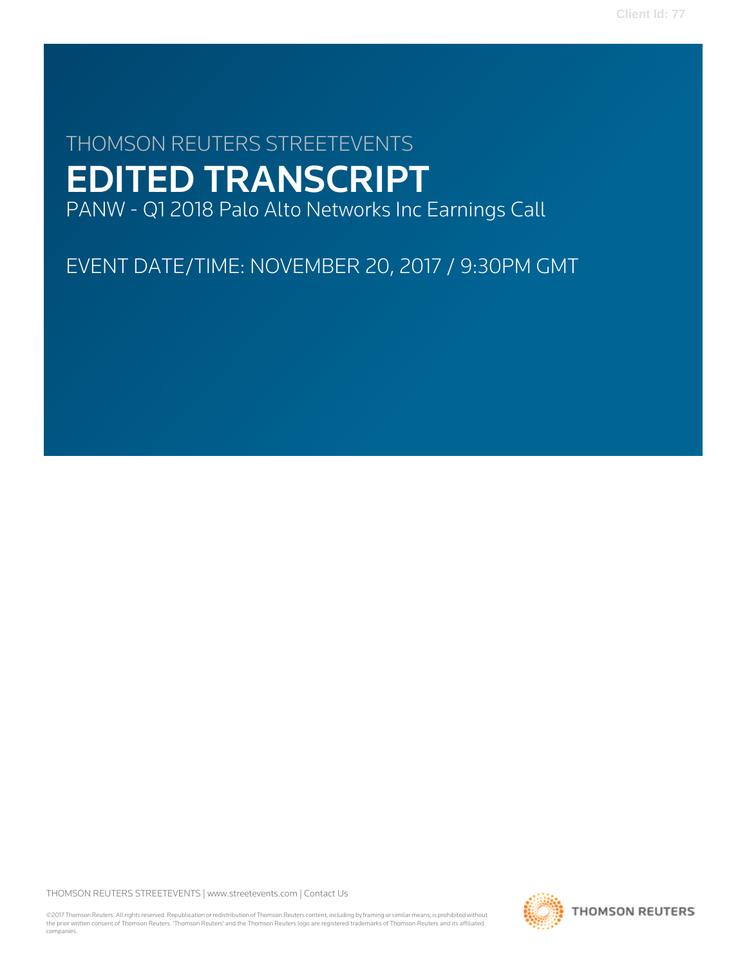# THOMSON REUTERS STREETEVENTS EDITED TRANSCRIPT PANW - Q1 2018 Palo Alto Networks Inc Earnings Call

EVENT DATE/TIME: NOVEMBER 20, 2017 / 9:30PM GMT

THOMSON REUTERS STREETEVENTS | [www.streetevents.com](http://www.streetevents.com) | [Contact Us](http://www010.streetevents.com/contact.asp)

©2017 Thomson Reuters. All rights reserved. Republication or redistribution of Thomson Reuters content, including by framing or similar means, is prohibited without the prior written consent of Thomson Reuters. 'Thomson Reuters' and the Thomson Reuters logo are registered trademarks of Thomson Reuters and its affiliated companies.

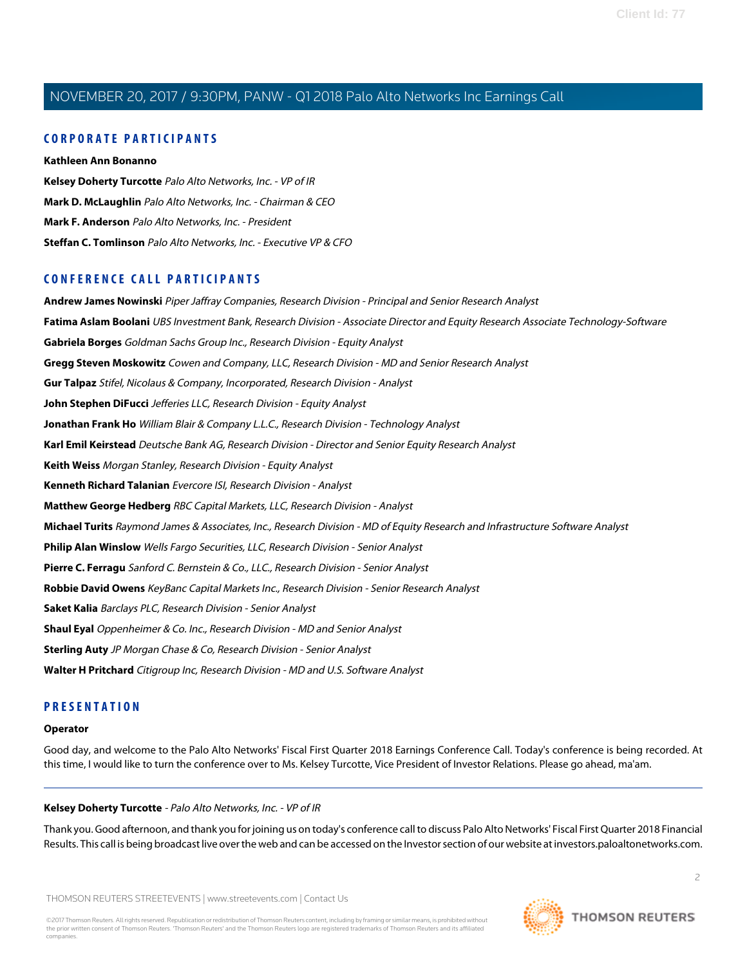# **CORPORATE PARTICIPANTS**

**[Kathleen Ann Bonanno](#page-4-0) [Kelsey Doherty Turcotte](#page-1-0)** Palo Alto Networks, Inc. - VP of IR **[Mark D. McLaughlin](#page-2-0)** Palo Alto Networks, Inc. - Chairman & CEO **[Mark F. Anderson](#page-8-0)** Palo Alto Networks, Inc. - President **[Steffan C. Tomlinson](#page-4-1)** Palo Alto Networks, Inc. - Executive VP & CFO

# **CONFERENCE CALL PARTICIPANTS**

**[Andrew James Nowinski](#page-12-0)** Piper Jaffray Companies, Research Division - Principal and Senior Research Analyst **[Fatima Aslam Boolani](#page-14-0)** UBS Investment Bank, Research Division - Associate Director and Equity Research Associate Technology-Software **[Gabriela Borges](#page-10-0)** Goldman Sachs Group Inc., Research Division - Equity Analyst **[Gregg Steven Moskowitz](#page-13-0)** Cowen and Company, LLC, Research Division - MD and Senior Research Analyst **[Gur Talpaz](#page-12-1)** Stifel, Nicolaus & Company, Incorporated, Research Division - Analyst **[John Stephen DiFucci](#page-13-1)** Jefferies LLC, Research Division - Equity Analyst **[Jonathan Frank Ho](#page-18-0)** William Blair & Company L.L.C., Research Division - Technology Analyst **[Karl Emil Keirstead](#page-16-0)** Deutsche Bank AG, Research Division - Director and Senior Equity Research Analyst **[Keith Weiss](#page-15-0)** Morgan Stanley, Research Division - Equity Analyst **[Kenneth Richard Talanian](#page-8-1)** Evercore ISI, Research Division - Analyst **[Matthew George Hedberg](#page-9-0)** RBC Capital Markets, LLC, Research Division - Analyst **[Michael Turits](#page-11-0)** Raymond James & Associates, Inc., Research Division - MD of Equity Research and Infrastructure Software Analyst **[Philip Alan Winslow](#page-6-0)** Wells Fargo Securities, LLC, Research Division - Senior Analyst **[Pierre C. Ferragu](#page-6-1)** Sanford C. Bernstein & Co., LLC., Research Division - Senior Analyst **[Robbie David Owens](#page-7-0)** KeyBanc Capital Markets Inc., Research Division - Senior Research Analyst **[Saket Kalia](#page-10-1)** Barclays PLC, Research Division - Senior Analyst **[Shaul Eyal](#page-17-0)** Oppenheimer & Co. Inc., Research Division - MD and Senior Analyst **[Sterling Auty](#page-8-2)** JP Morgan Chase & Co, Research Division - Senior Analyst **[Walter H Pritchard](#page-15-1)** Citigroup Inc, Research Division - MD and U.S. Software Analyst

# **PRESENTATION**

### <span id="page-1-0"></span>**Operator**

Good day, and welcome to the Palo Alto Networks' Fiscal First Quarter 2018 Earnings Conference Call. Today's conference is being recorded. At this time, I would like to turn the conference over to Ms. Kelsey Turcotte, Vice President of Investor Relations. Please go ahead, ma'am.

### **Kelsey Doherty Turcotte** - Palo Alto Networks, Inc. - VP of IR

Thank you. Good afternoon, and thank you for joining us on today's conference call to discuss Palo Alto Networks' Fiscal First Quarter 2018 Financial Results. This call is being broadcast live over the web and can be accessed on the Investor section of our website at investors.paloaltonetworks.com.

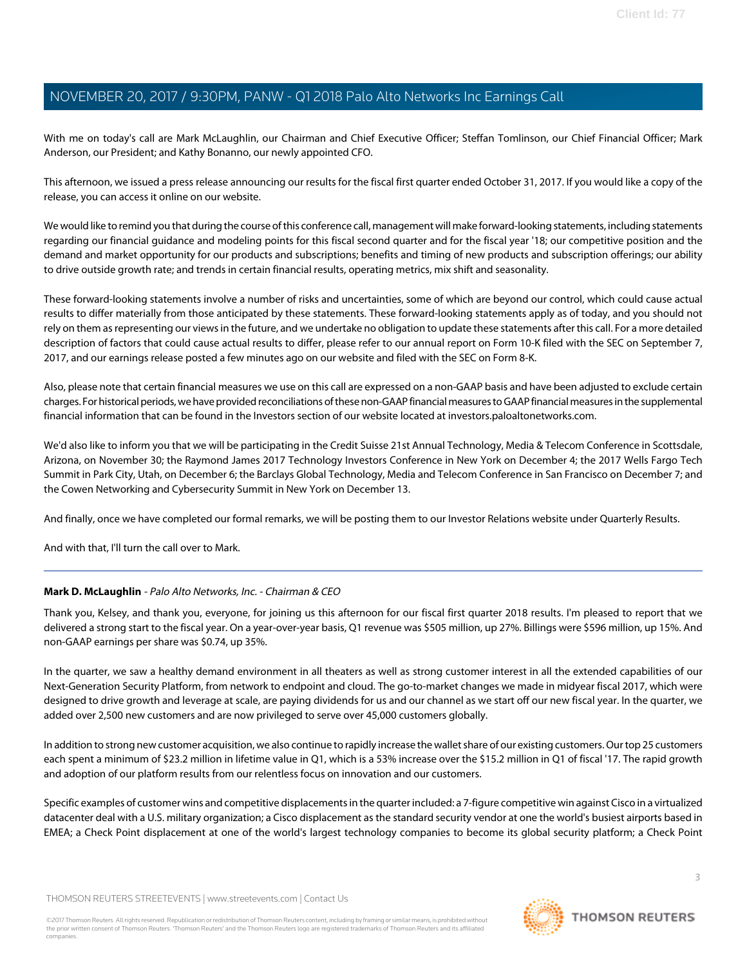With me on today's call are Mark McLaughlin, our Chairman and Chief Executive Officer; Steffan Tomlinson, our Chief Financial Officer; Mark Anderson, our President; and Kathy Bonanno, our newly appointed CFO.

This afternoon, we issued a press release announcing our results for the fiscal first quarter ended October 31, 2017. If you would like a copy of the release, you can access it online on our website.

We would like to remind you that during the course of this conference call, management will make forward-looking statements, including statements regarding our financial guidance and modeling points for this fiscal second quarter and for the fiscal year '18; our competitive position and the demand and market opportunity for our products and subscriptions; benefits and timing of new products and subscription offerings; our ability to drive outside growth rate; and trends in certain financial results, operating metrics, mix shift and seasonality.

These forward-looking statements involve a number of risks and uncertainties, some of which are beyond our control, which could cause actual results to differ materially from those anticipated by these statements. These forward-looking statements apply as of today, and you should not rely on them as representing our views in the future, and we undertake no obligation to update these statements after this call. For a more detailed description of factors that could cause actual results to differ, please refer to our annual report on Form 10-K filed with the SEC on September 7, 2017, and our earnings release posted a few minutes ago on our website and filed with the SEC on Form 8-K.

Also, please note that certain financial measures we use on this call are expressed on a non-GAAP basis and have been adjusted to exclude certain charges. For historical periods, we have provided reconciliations of these non-GAAP financial measures to GAAP financial measures in the supplemental financial information that can be found in the Investors section of our website located at investors.paloaltonetworks.com.

We'd also like to inform you that we will be participating in the Credit Suisse 21st Annual Technology, Media & Telecom Conference in Scottsdale, Arizona, on November 30; the Raymond James 2017 Technology Investors Conference in New York on December 4; the 2017 Wells Fargo Tech Summit in Park City, Utah, on December 6; the Barclays Global Technology, Media and Telecom Conference in San Francisco on December 7; and the Cowen Networking and Cybersecurity Summit in New York on December 13.

And finally, once we have completed our formal remarks, we will be posting them to our Investor Relations website under Quarterly Results.

<span id="page-2-0"></span>And with that, I'll turn the call over to Mark.

# **Mark D. McLaughlin** - Palo Alto Networks, Inc. - Chairman & CEO

Thank you, Kelsey, and thank you, everyone, for joining us this afternoon for our fiscal first quarter 2018 results. I'm pleased to report that we delivered a strong start to the fiscal year. On a year-over-year basis, Q1 revenue was \$505 million, up 27%. Billings were \$596 million, up 15%. And non-GAAP earnings per share was \$0.74, up 35%.

In the quarter, we saw a healthy demand environment in all theaters as well as strong customer interest in all the extended capabilities of our Next-Generation Security Platform, from network to endpoint and cloud. The go-to-market changes we made in midyear fiscal 2017, which were designed to drive growth and leverage at scale, are paying dividends for us and our channel as we start off our new fiscal year. In the quarter, we added over 2,500 new customers and are now privileged to serve over 45,000 customers globally.

In addition to strong new customer acquisition, we also continue to rapidly increase the wallet share of our existing customers. Our top 25 customers each spent a minimum of \$23.2 million in lifetime value in Q1, which is a 53% increase over the \$15.2 million in Q1 of fiscal '17. The rapid growth and adoption of our platform results from our relentless focus on innovation and our customers.

Specific examples of customer wins and competitive displacements in the quarter included: a 7-figure competitive win against Cisco in a virtualized datacenter deal with a U.S. military organization; a Cisco displacement as the standard security vendor at one the world's busiest airports based in EMEA; a Check Point displacement at one of the world's largest technology companies to become its global security platform; a Check Point

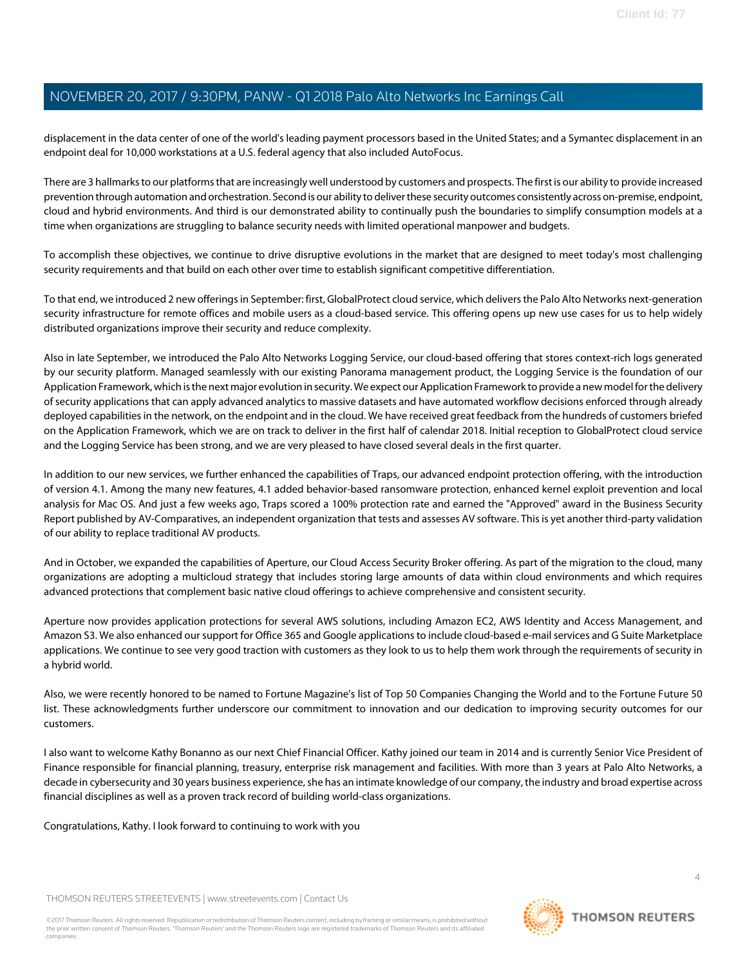displacement in the data center of one of the world's leading payment processors based in the United States; and a Symantec displacement in an endpoint deal for 10,000 workstations at a U.S. federal agency that also included AutoFocus.

There are 3 hallmarks to our platforms that are increasingly well understood by customers and prospects. The first is our ability to provide increased prevention through automation and orchestration. Second is our ability to deliver these security outcomes consistently across on-premise, endpoint, cloud and hybrid environments. And third is our demonstrated ability to continually push the boundaries to simplify consumption models at a time when organizations are struggling to balance security needs with limited operational manpower and budgets.

To accomplish these objectives, we continue to drive disruptive evolutions in the market that are designed to meet today's most challenging security requirements and that build on each other over time to establish significant competitive differentiation.

To that end, we introduced 2 new offerings in September: first, GlobalProtect cloud service, which delivers the Palo Alto Networks next-generation security infrastructure for remote offices and mobile users as a cloud-based service. This offering opens up new use cases for us to help widely distributed organizations improve their security and reduce complexity.

Also in late September, we introduced the Palo Alto Networks Logging Service, our cloud-based offering that stores context-rich logs generated by our security platform. Managed seamlessly with our existing Panorama management product, the Logging Service is the foundation of our Application Framework, which is the next major evolution in security. We expect our Application Framework to provide a new model for the delivery of security applications that can apply advanced analytics to massive datasets and have automated workflow decisions enforced through already deployed capabilities in the network, on the endpoint and in the cloud. We have received great feedback from the hundreds of customers briefed on the Application Framework, which we are on track to deliver in the first half of calendar 2018. Initial reception to GlobalProtect cloud service and the Logging Service has been strong, and we are very pleased to have closed several deals in the first quarter.

In addition to our new services, we further enhanced the capabilities of Traps, our advanced endpoint protection offering, with the introduction of version 4.1. Among the many new features, 4.1 added behavior-based ransomware protection, enhanced kernel exploit prevention and local analysis for Mac OS. And just a few weeks ago, Traps scored a 100% protection rate and earned the "Approved" award in the Business Security Report published by AV-Comparatives, an independent organization that tests and assesses AV software. This is yet another third-party validation of our ability to replace traditional AV products.

And in October, we expanded the capabilities of Aperture, our Cloud Access Security Broker offering. As part of the migration to the cloud, many organizations are adopting a multicloud strategy that includes storing large amounts of data within cloud environments and which requires advanced protections that complement basic native cloud offerings to achieve comprehensive and consistent security.

Aperture now provides application protections for several AWS solutions, including Amazon EC2, AWS Identity and Access Management, and Amazon S3. We also enhanced our support for Office 365 and Google applications to include cloud-based e-mail services and G Suite Marketplace applications. We continue to see very good traction with customers as they look to us to help them work through the requirements of security in a hybrid world.

Also, we were recently honored to be named to Fortune Magazine's list of Top 50 Companies Changing the World and to the Fortune Future 50 list. These acknowledgments further underscore our commitment to innovation and our dedication to improving security outcomes for our customers.

I also want to welcome Kathy Bonanno as our next Chief Financial Officer. Kathy joined our team in 2014 and is currently Senior Vice President of Finance responsible for financial planning, treasury, enterprise risk management and facilities. With more than 3 years at Palo Alto Networks, a decade in cybersecurity and 30 years business experience, she has an intimate knowledge of our company, the industry and broad expertise across financial disciplines as well as a proven track record of building world-class organizations.

Congratulations, Kathy. I look forward to continuing to work with you

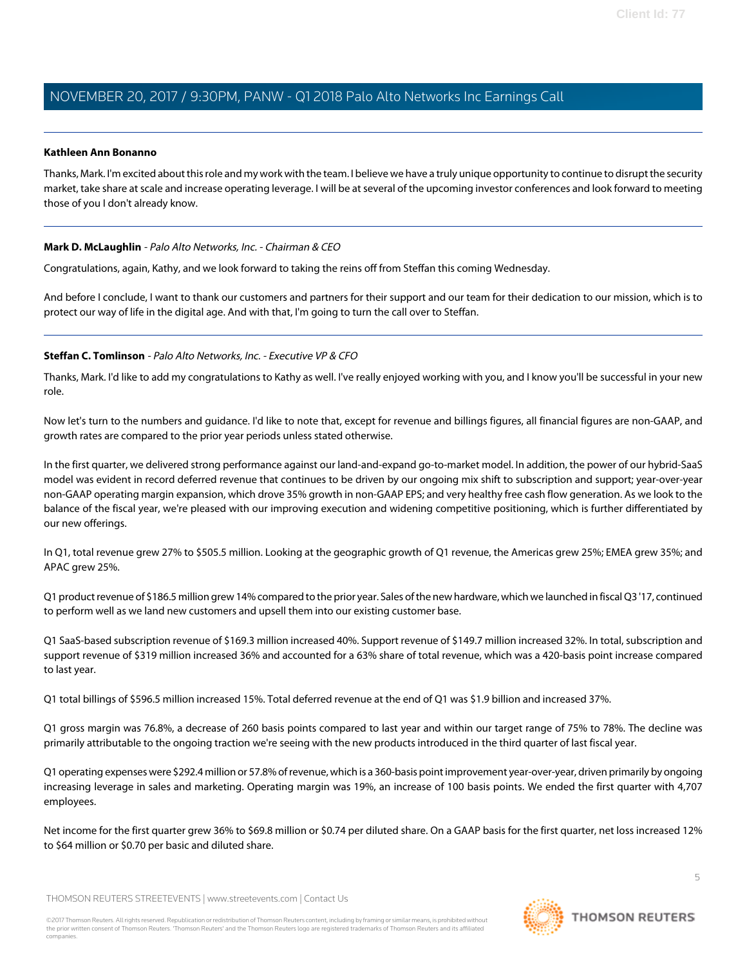### <span id="page-4-0"></span>**Kathleen Ann Bonanno**

Thanks, Mark. I'm excited about this role and my work with the team. I believe we have a truly unique opportunity to continue to disrupt the security market, take share at scale and increase operating leverage. I will be at several of the upcoming investor conferences and look forward to meeting those of you I don't already know.

### **Mark D. McLaughlin** - Palo Alto Networks, Inc. - Chairman & CEO

Congratulations, again, Kathy, and we look forward to taking the reins off from Steffan this coming Wednesday.

<span id="page-4-1"></span>And before I conclude, I want to thank our customers and partners for their support and our team for their dedication to our mission, which is to protect our way of life in the digital age. And with that, I'm going to turn the call over to Steffan.

### **Steffan C. Tomlinson** - Palo Alto Networks, Inc. - Executive VP & CFO

Thanks, Mark. I'd like to add my congratulations to Kathy as well. I've really enjoyed working with you, and I know you'll be successful in your new role.

Now let's turn to the numbers and guidance. I'd like to note that, except for revenue and billings figures, all financial figures are non-GAAP, and growth rates are compared to the prior year periods unless stated otherwise.

In the first quarter, we delivered strong performance against our land-and-expand go-to-market model. In addition, the power of our hybrid-SaaS model was evident in record deferred revenue that continues to be driven by our ongoing mix shift to subscription and support; year-over-year non-GAAP operating margin expansion, which drove 35% growth in non-GAAP EPS; and very healthy free cash flow generation. As we look to the balance of the fiscal year, we're pleased with our improving execution and widening competitive positioning, which is further differentiated by our new offerings.

In Q1, total revenue grew 27% to \$505.5 million. Looking at the geographic growth of Q1 revenue, the Americas grew 25%; EMEA grew 35%; and APAC grew 25%.

Q1 product revenue of \$186.5 million grew 14% compared to the prior year. Sales of the new hardware, which we launched in fiscal Q3 '17, continued to perform well as we land new customers and upsell them into our existing customer base.

Q1 SaaS-based subscription revenue of \$169.3 million increased 40%. Support revenue of \$149.7 million increased 32%. In total, subscription and support revenue of \$319 million increased 36% and accounted for a 63% share of total revenue, which was a 420-basis point increase compared to last year.

Q1 total billings of \$596.5 million increased 15%. Total deferred revenue at the end of Q1 was \$1.9 billion and increased 37%.

Q1 gross margin was 76.8%, a decrease of 260 basis points compared to last year and within our target range of 75% to 78%. The decline was primarily attributable to the ongoing traction we're seeing with the new products introduced in the third quarter of last fiscal year.

Q1 operating expenses were \$292.4 million or 57.8% of revenue, which is a 360-basis point improvement year-over-year, driven primarily by ongoing increasing leverage in sales and marketing. Operating margin was 19%, an increase of 100 basis points. We ended the first quarter with 4,707 employees.

Net income for the first quarter grew 36% to \$69.8 million or \$0.74 per diluted share. On a GAAP basis for the first quarter, net loss increased 12% to \$64 million or \$0.70 per basic and diluted share.

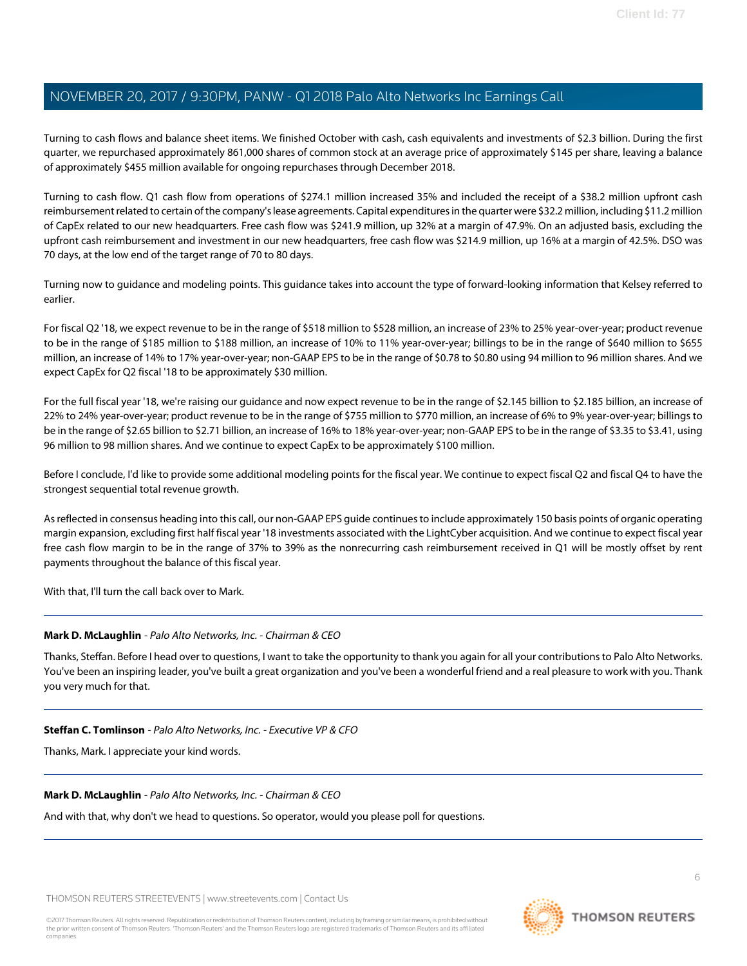Turning to cash flows and balance sheet items. We finished October with cash, cash equivalents and investments of \$2.3 billion. During the first quarter, we repurchased approximately 861,000 shares of common stock at an average price of approximately \$145 per share, leaving a balance of approximately \$455 million available for ongoing repurchases through December 2018.

Turning to cash flow. Q1 cash flow from operations of \$274.1 million increased 35% and included the receipt of a \$38.2 million upfront cash reimbursement related to certain of the company's lease agreements. Capital expenditures in the quarter were \$32.2 million, including \$11.2 million of CapEx related to our new headquarters. Free cash flow was \$241.9 million, up 32% at a margin of 47.9%. On an adjusted basis, excluding the upfront cash reimbursement and investment in our new headquarters, free cash flow was \$214.9 million, up 16% at a margin of 42.5%. DSO was 70 days, at the low end of the target range of 70 to 80 days.

Turning now to guidance and modeling points. This guidance takes into account the type of forward-looking information that Kelsey referred to earlier.

For fiscal Q2 '18, we expect revenue to be in the range of \$518 million to \$528 million, an increase of 23% to 25% year-over-year; product revenue to be in the range of \$185 million to \$188 million, an increase of 10% to 11% year-over-year; billings to be in the range of \$640 million to \$655 million, an increase of 14% to 17% year-over-year; non-GAAP EPS to be in the range of \$0.78 to \$0.80 using 94 million to 96 million shares. And we expect CapEx for Q2 fiscal '18 to be approximately \$30 million.

For the full fiscal year '18, we're raising our guidance and now expect revenue to be in the range of \$2.145 billion to \$2.185 billion, an increase of 22% to 24% year-over-year; product revenue to be in the range of \$755 million to \$770 million, an increase of 6% to 9% year-over-year; billings to be in the range of \$2.65 billion to \$2.71 billion, an increase of 16% to 18% year-over-year; non-GAAP EPS to be in the range of \$3.35 to \$3.41, using 96 million to 98 million shares. And we continue to expect CapEx to be approximately \$100 million.

Before I conclude, I'd like to provide some additional modeling points for the fiscal year. We continue to expect fiscal Q2 and fiscal Q4 to have the strongest sequential total revenue growth.

As reflected in consensus heading into this call, our non-GAAP EPS guide continues to include approximately 150 basis points of organic operating margin expansion, excluding first half fiscal year '18 investments associated with the LightCyber acquisition. And we continue to expect fiscal year free cash flow margin to be in the range of 37% to 39% as the nonrecurring cash reimbursement received in Q1 will be mostly offset by rent payments throughout the balance of this fiscal year.

With that, I'll turn the call back over to Mark.

### **Mark D. McLaughlin** - Palo Alto Networks, Inc. - Chairman & CEO

Thanks, Steffan. Before I head over to questions, I want to take the opportunity to thank you again for all your contributions to Palo Alto Networks. You've been an inspiring leader, you've built a great organization and you've been a wonderful friend and a real pleasure to work with you. Thank you very much for that.

#### **Steffan C. Tomlinson** - Palo Alto Networks, Inc. - Executive VP & CFO

Thanks, Mark. I appreciate your kind words.

#### **Mark D. McLaughlin** - Palo Alto Networks, Inc. - Chairman & CEO

And with that, why don't we head to questions. So operator, would you please poll for questions.

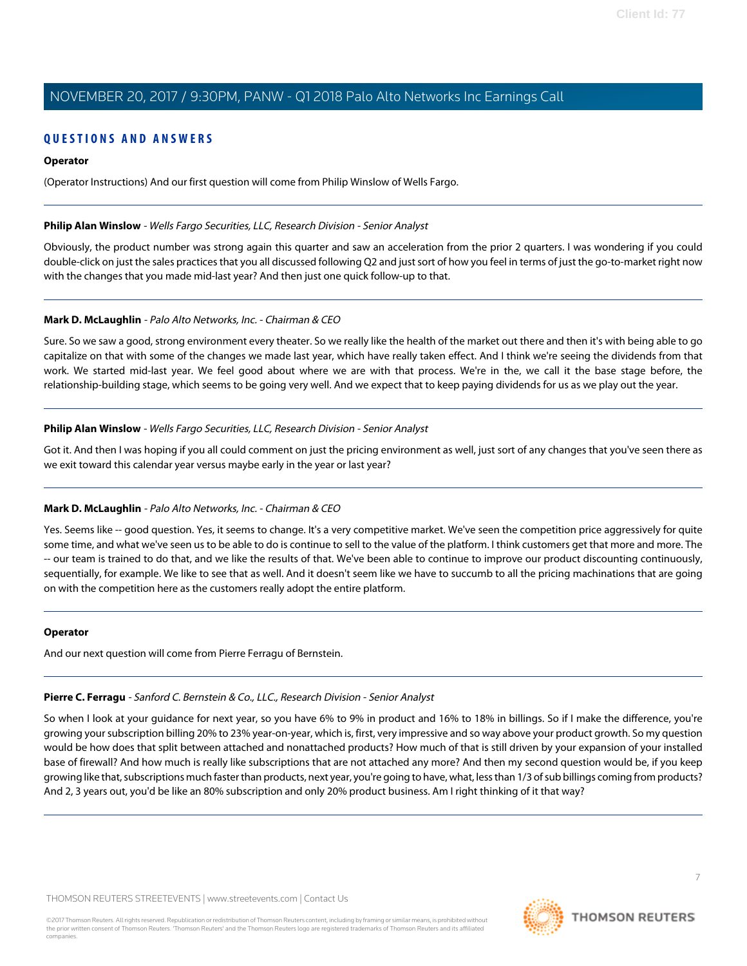# **QUESTIONS AND ANSWERS**

#### **Operator**

(Operator Instructions) And our first question will come from Philip Winslow of Wells Fargo.

#### <span id="page-6-0"></span>**Philip Alan Winslow** - Wells Fargo Securities, LLC, Research Division - Senior Analyst

Obviously, the product number was strong again this quarter and saw an acceleration from the prior 2 quarters. I was wondering if you could double-click on just the sales practices that you all discussed following Q2 and just sort of how you feel in terms of just the go-to-market right now with the changes that you made mid-last year? And then just one quick follow-up to that.

#### **Mark D. McLaughlin** - Palo Alto Networks, Inc. - Chairman & CEO

Sure. So we saw a good, strong environment every theater. So we really like the health of the market out there and then it's with being able to go capitalize on that with some of the changes we made last year, which have really taken effect. And I think we're seeing the dividends from that work. We started mid-last year. We feel good about where we are with that process. We're in the, we call it the base stage before, the relationship-building stage, which seems to be going very well. And we expect that to keep paying dividends for us as we play out the year.

#### **Philip Alan Winslow** - Wells Fargo Securities, LLC, Research Division - Senior Analyst

Got it. And then I was hoping if you all could comment on just the pricing environment as well, just sort of any changes that you've seen there as we exit toward this calendar year versus maybe early in the year or last year?

### **Mark D. McLaughlin** - Palo Alto Networks, Inc. - Chairman & CEO

Yes. Seems like -- good question. Yes, it seems to change. It's a very competitive market. We've seen the competition price aggressively for quite some time, and what we've seen us to be able to do is continue to sell to the value of the platform. I think customers get that more and more. The -- our team is trained to do that, and we like the results of that. We've been able to continue to improve our product discounting continuously, sequentially, for example. We like to see that as well. And it doesn't seem like we have to succumb to all the pricing machinations that are going on with the competition here as the customers really adopt the entire platform.

#### <span id="page-6-1"></span>**Operator**

And our next question will come from Pierre Ferragu of Bernstein.

# **Pierre C. Ferragu** - Sanford C. Bernstein & Co., LLC., Research Division - Senior Analyst

So when I look at your guidance for next year, so you have 6% to 9% in product and 16% to 18% in billings. So if I make the difference, you're growing your subscription billing 20% to 23% year-on-year, which is, first, very impressive and so way above your product growth. So my question would be how does that split between attached and nonattached products? How much of that is still driven by your expansion of your installed base of firewall? And how much is really like subscriptions that are not attached any more? And then my second question would be, if you keep growing like that, subscriptions much faster than products, next year, you're going to have, what, less than 1/3 of sub billings coming from products? And 2, 3 years out, you'd be like an 80% subscription and only 20% product business. Am I right thinking of it that way?

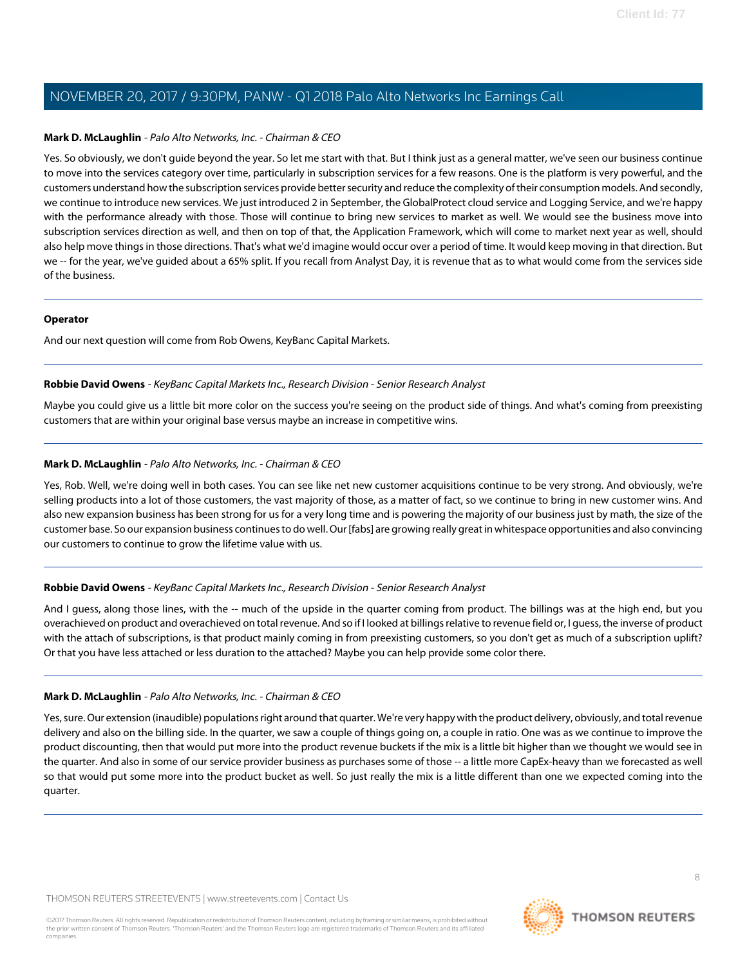### **Mark D. McLaughlin** - Palo Alto Networks, Inc. - Chairman & CEO

Yes. So obviously, we don't guide beyond the year. So let me start with that. But I think just as a general matter, we've seen our business continue to move into the services category over time, particularly in subscription services for a few reasons. One is the platform is very powerful, and the customers understand how the subscription services provide better security and reduce the complexity of their consumption models. And secondly, we continue to introduce new services. We just introduced 2 in September, the GlobalProtect cloud service and Logging Service, and we're happy with the performance already with those. Those will continue to bring new services to market as well. We would see the business move into subscription services direction as well, and then on top of that, the Application Framework, which will come to market next year as well, should also help move things in those directions. That's what we'd imagine would occur over a period of time. It would keep moving in that direction. But we -- for the year, we've guided about a 65% split. If you recall from Analyst Day, it is revenue that as to what would come from the services side of the business.

#### **Operator**

<span id="page-7-0"></span>And our next question will come from Rob Owens, KeyBanc Capital Markets.

### **Robbie David Owens** - KeyBanc Capital Markets Inc., Research Division - Senior Research Analyst

Maybe you could give us a little bit more color on the success you're seeing on the product side of things. And what's coming from preexisting customers that are within your original base versus maybe an increase in competitive wins.

### **Mark D. McLaughlin** - Palo Alto Networks, Inc. - Chairman & CEO

Yes, Rob. Well, we're doing well in both cases. You can see like net new customer acquisitions continue to be very strong. And obviously, we're selling products into a lot of those customers, the vast majority of those, as a matter of fact, so we continue to bring in new customer wins. And also new expansion business has been strong for us for a very long time and is powering the majority of our business just by math, the size of the customer base. So our expansion business continues to do well. Our [fabs] are growing really great in whitespace opportunities and also convincing our customers to continue to grow the lifetime value with us.

### **Robbie David Owens** - KeyBanc Capital Markets Inc., Research Division - Senior Research Analyst

And I guess, along those lines, with the -- much of the upside in the quarter coming from product. The billings was at the high end, but you overachieved on product and overachieved on total revenue. And so if I looked at billings relative to revenue field or, I guess, the inverse of product with the attach of subscriptions, is that product mainly coming in from preexisting customers, so you don't get as much of a subscription uplift? Or that you have less attached or less duration to the attached? Maybe you can help provide some color there.

# **Mark D. McLaughlin** - Palo Alto Networks, Inc. - Chairman & CEO

Yes, sure. Our extension (inaudible) populations right around that quarter. We're very happy with the product delivery, obviously, and total revenue delivery and also on the billing side. In the quarter, we saw a couple of things going on, a couple in ratio. One was as we continue to improve the product discounting, then that would put more into the product revenue buckets if the mix is a little bit higher than we thought we would see in the quarter. And also in some of our service provider business as purchases some of those -- a little more CapEx-heavy than we forecasted as well so that would put some more into the product bucket as well. So just really the mix is a little different than one we expected coming into the quarter.

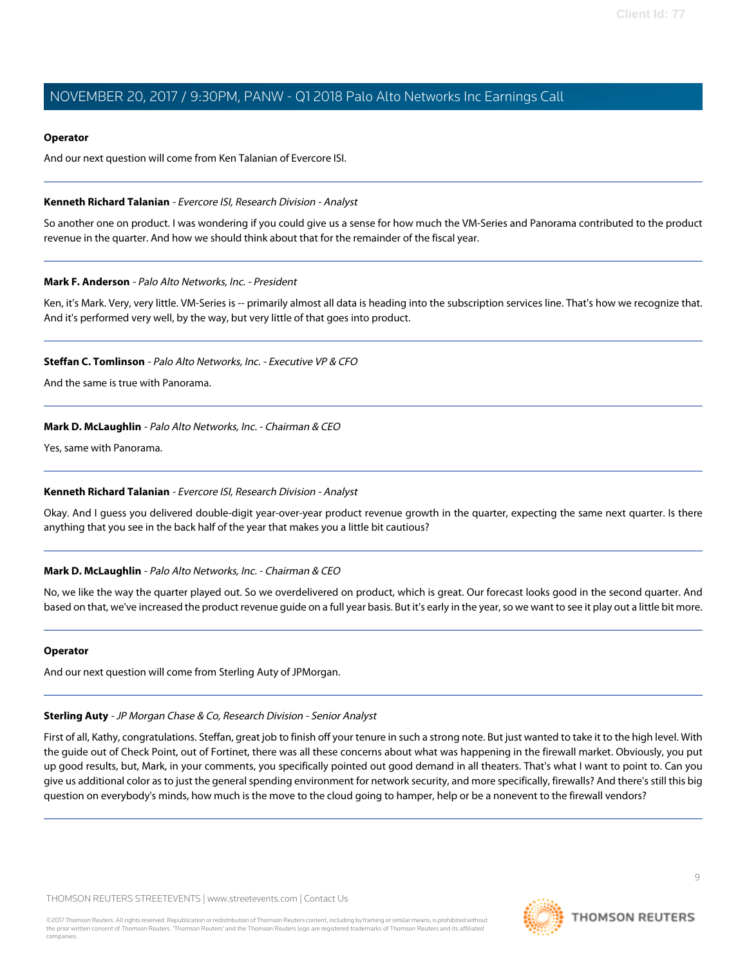#### **Operator**

And our next question will come from Ken Talanian of Evercore ISI.

#### <span id="page-8-1"></span>**Kenneth Richard Talanian** - Evercore ISI, Research Division - Analyst

So another one on product. I was wondering if you could give us a sense for how much the VM-Series and Panorama contributed to the product revenue in the quarter. And how we should think about that for the remainder of the fiscal year.

#### <span id="page-8-0"></span>**Mark F. Anderson** - Palo Alto Networks, Inc. - President

Ken, it's Mark. Very, very little. VM-Series is -- primarily almost all data is heading into the subscription services line. That's how we recognize that. And it's performed very well, by the way, but very little of that goes into product.

#### **Steffan C. Tomlinson** - Palo Alto Networks, Inc. - Executive VP & CFO

And the same is true with Panorama.

### **Mark D. McLaughlin** - Palo Alto Networks, Inc. - Chairman & CEO

Yes, same with Panorama.

### **Kenneth Richard Talanian** - Evercore ISI, Research Division - Analyst

Okay. And I guess you delivered double-digit year-over-year product revenue growth in the quarter, expecting the same next quarter. Is there anything that you see in the back half of the year that makes you a little bit cautious?

### **Mark D. McLaughlin** - Palo Alto Networks, Inc. - Chairman & CEO

No, we like the way the quarter played out. So we overdelivered on product, which is great. Our forecast looks good in the second quarter. And based on that, we've increased the product revenue guide on a full year basis. But it's early in the year, so we want to see it play out a little bit more.

### <span id="page-8-2"></span>**Operator**

And our next question will come from Sterling Auty of JPMorgan.

# **Sterling Auty** - JP Morgan Chase & Co, Research Division - Senior Analyst

First of all, Kathy, congratulations. Steffan, great job to finish off your tenure in such a strong note. But just wanted to take it to the high level. With the guide out of Check Point, out of Fortinet, there was all these concerns about what was happening in the firewall market. Obviously, you put up good results, but, Mark, in your comments, you specifically pointed out good demand in all theaters. That's what I want to point to. Can you give us additional color as to just the general spending environment for network security, and more specifically, firewalls? And there's still this big question on everybody's minds, how much is the move to the cloud going to hamper, help or be a nonevent to the firewall vendors?

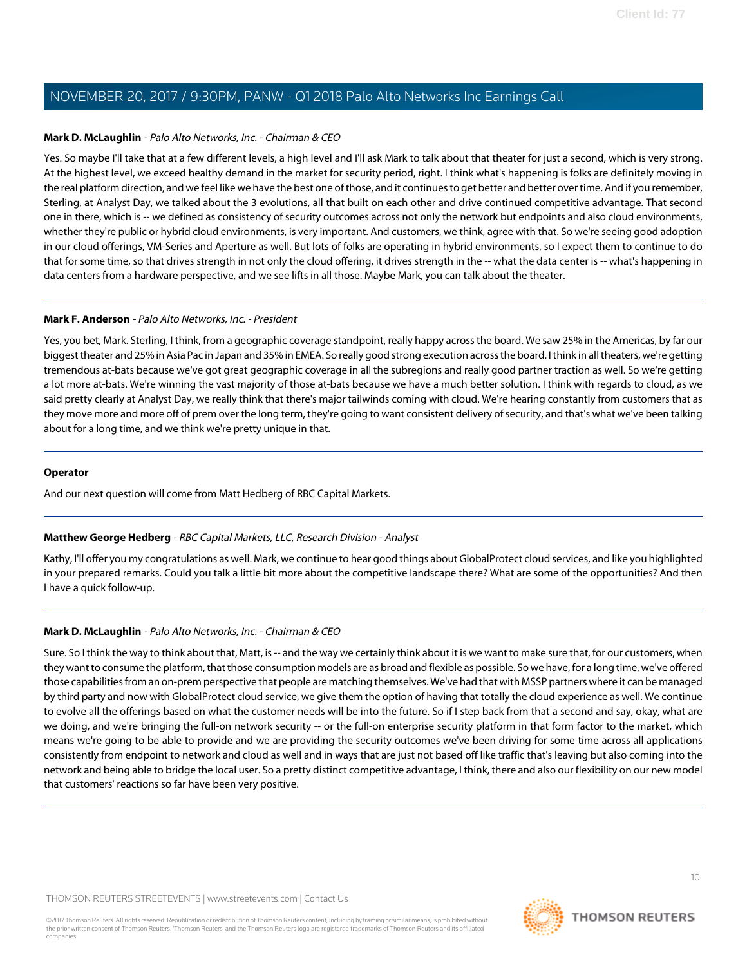### **Mark D. McLaughlin** - Palo Alto Networks, Inc. - Chairman & CEO

Yes. So maybe I'll take that at a few different levels, a high level and I'll ask Mark to talk about that theater for just a second, which is very strong. At the highest level, we exceed healthy demand in the market for security period, right. I think what's happening is folks are definitely moving in the real platform direction, and we feel like we have the best one of those, and it continues to get better and better over time. And if you remember, Sterling, at Analyst Day, we talked about the 3 evolutions, all that built on each other and drive continued competitive advantage. That second one in there, which is -- we defined as consistency of security outcomes across not only the network but endpoints and also cloud environments, whether they're public or hybrid cloud environments, is very important. And customers, we think, agree with that. So we're seeing good adoption in our cloud offerings, VM-Series and Aperture as well. But lots of folks are operating in hybrid environments, so I expect them to continue to do that for some time, so that drives strength in not only the cloud offering, it drives strength in the -- what the data center is -- what's happening in data centers from a hardware perspective, and we see lifts in all those. Maybe Mark, you can talk about the theater.

### **Mark F. Anderson** - Palo Alto Networks, Inc. - President

Yes, you bet, Mark. Sterling, I think, from a geographic coverage standpoint, really happy across the board. We saw 25% in the Americas, by far our biggest theater and 25% in Asia Pac in Japan and 35% in EMEA. So really good strong execution across the board. I think in all theaters, we're getting tremendous at-bats because we've got great geographic coverage in all the subregions and really good partner traction as well. So we're getting a lot more at-bats. We're winning the vast majority of those at-bats because we have a much better solution. I think with regards to cloud, as we said pretty clearly at Analyst Day, we really think that there's major tailwinds coming with cloud. We're hearing constantly from customers that as they move more and more off of prem over the long term, they're going to want consistent delivery of security, and that's what we've been talking about for a long time, and we think we're pretty unique in that.

### **Operator**

<span id="page-9-0"></span>And our next question will come from Matt Hedberg of RBC Capital Markets.

# **Matthew George Hedberg** - RBC Capital Markets, LLC, Research Division - Analyst

Kathy, I'll offer you my congratulations as well. Mark, we continue to hear good things about GlobalProtect cloud services, and like you highlighted in your prepared remarks. Could you talk a little bit more about the competitive landscape there? What are some of the opportunities? And then I have a quick follow-up.

# **Mark D. McLaughlin** - Palo Alto Networks, Inc. - Chairman & CEO

Sure. So I think the way to think about that, Matt, is -- and the way we certainly think about it is we want to make sure that, for our customers, when they want to consume the platform, that those consumption models are as broad and flexible as possible. So we have, for a long time, we've offered those capabilities from an on-prem perspective that people are matching themselves. We've had that with MSSP partners where it can be managed by third party and now with GlobalProtect cloud service, we give them the option of having that totally the cloud experience as well. We continue to evolve all the offerings based on what the customer needs will be into the future. So if I step back from that a second and say, okay, what are we doing, and we're bringing the full-on network security -- or the full-on enterprise security platform in that form factor to the market, which means we're going to be able to provide and we are providing the security outcomes we've been driving for some time across all applications consistently from endpoint to network and cloud as well and in ways that are just not based off like traffic that's leaving but also coming into the network and being able to bridge the local user. So a pretty distinct competitive advantage, I think, there and also our flexibility on our new model that customers' reactions so far have been very positive.

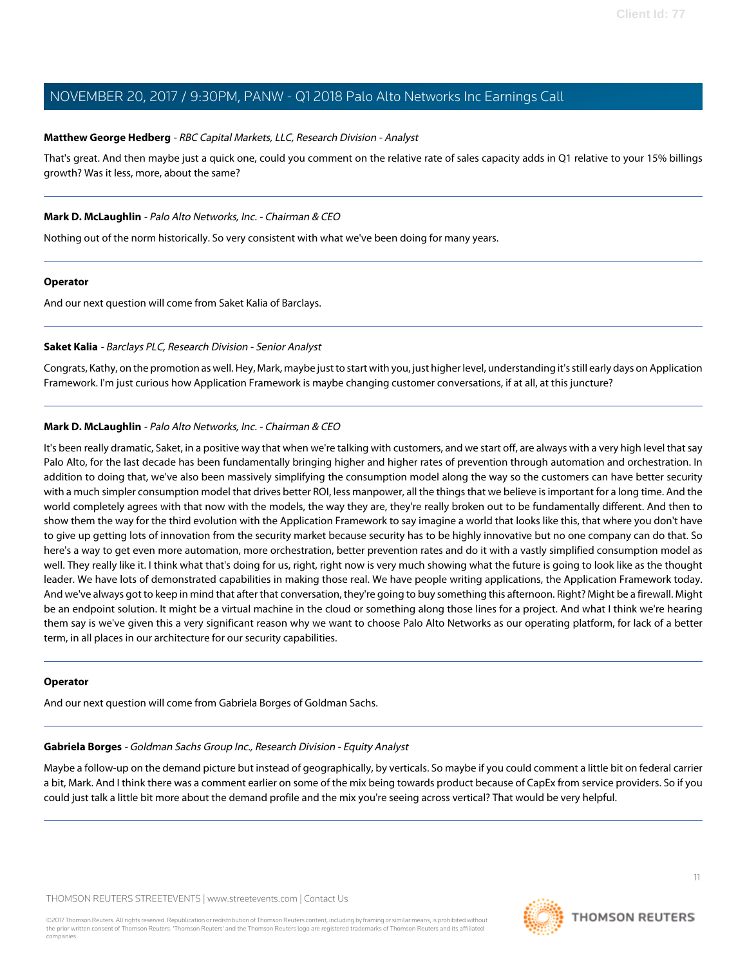### **Matthew George Hedberg** - RBC Capital Markets, LLC, Research Division - Analyst

That's great. And then maybe just a quick one, could you comment on the relative rate of sales capacity adds in Q1 relative to your 15% billings growth? Was it less, more, about the same?

### **Mark D. McLaughlin** - Palo Alto Networks, Inc. - Chairman & CEO

Nothing out of the norm historically. So very consistent with what we've been doing for many years.

### **Operator**

<span id="page-10-1"></span>And our next question will come from Saket Kalia of Barclays.

### **Saket Kalia** - Barclays PLC, Research Division - Senior Analyst

Congrats, Kathy, on the promotion as well. Hey, Mark, maybe just to start with you, just higher level, understanding it's still early days on Application Framework. I'm just curious how Application Framework is maybe changing customer conversations, if at all, at this juncture?

# **Mark D. McLaughlin** - Palo Alto Networks, Inc. - Chairman & CEO

It's been really dramatic, Saket, in a positive way that when we're talking with customers, and we start off, are always with a very high level that say Palo Alto, for the last decade has been fundamentally bringing higher and higher rates of prevention through automation and orchestration. In addition to doing that, we've also been massively simplifying the consumption model along the way so the customers can have better security with a much simpler consumption model that drives better ROI, less manpower, all the things that we believe is important for a long time. And the world completely agrees with that now with the models, the way they are, they're really broken out to be fundamentally different. And then to show them the way for the third evolution with the Application Framework to say imagine a world that looks like this, that where you don't have to give up getting lots of innovation from the security market because security has to be highly innovative but no one company can do that. So here's a way to get even more automation, more orchestration, better prevention rates and do it with a vastly simplified consumption model as well. They really like it. I think what that's doing for us, right, right now is very much showing what the future is going to look like as the thought leader. We have lots of demonstrated capabilities in making those real. We have people writing applications, the Application Framework today. And we've always got to keep in mind that after that conversation, they're going to buy something this afternoon. Right? Might be a firewall. Might be an endpoint solution. It might be a virtual machine in the cloud or something along those lines for a project. And what I think we're hearing them say is we've given this a very significant reason why we want to choose Palo Alto Networks as our operating platform, for lack of a better term, in all places in our architecture for our security capabilities.

### <span id="page-10-0"></span>**Operator**

And our next question will come from Gabriela Borges of Goldman Sachs.

### **Gabriela Borges** - Goldman Sachs Group Inc., Research Division - Equity Analyst

Maybe a follow-up on the demand picture but instead of geographically, by verticals. So maybe if you could comment a little bit on federal carrier a bit, Mark. And I think there was a comment earlier on some of the mix being towards product because of CapEx from service providers. So if you could just talk a little bit more about the demand profile and the mix you're seeing across vertical? That would be very helpful.

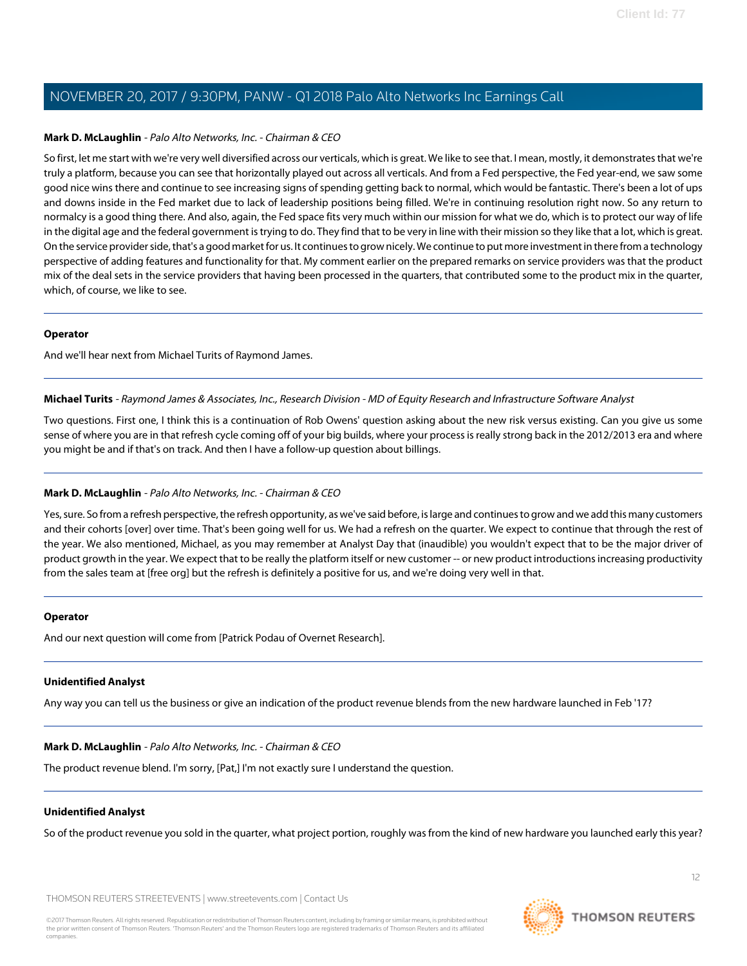### **Mark D. McLaughlin** - Palo Alto Networks, Inc. - Chairman & CEO

So first, let me start with we're very well diversified across our verticals, which is great. We like to see that. I mean, mostly, it demonstrates that we're truly a platform, because you can see that horizontally played out across all verticals. And from a Fed perspective, the Fed year-end, we saw some good nice wins there and continue to see increasing signs of spending getting back to normal, which would be fantastic. There's been a lot of ups and downs inside in the Fed market due to lack of leadership positions being filled. We're in continuing resolution right now. So any return to normalcy is a good thing there. And also, again, the Fed space fits very much within our mission for what we do, which is to protect our way of life in the digital age and the federal government is trying to do. They find that to be very in line with their mission so they like that a lot, which is great. On the service provider side, that's a good market for us. It continues to grow nicely. We continue to put more investment in there from a technology perspective of adding features and functionality for that. My comment earlier on the prepared remarks on service providers was that the product mix of the deal sets in the service providers that having been processed in the quarters, that contributed some to the product mix in the quarter, which, of course, we like to see.

### **Operator**

<span id="page-11-0"></span>And we'll hear next from Michael Turits of Raymond James.

**Michael Turits** - Raymond James & Associates, Inc., Research Division - MD of Equity Research and Infrastructure Software Analyst

Two questions. First one, I think this is a continuation of Rob Owens' question asking about the new risk versus existing. Can you give us some sense of where you are in that refresh cycle coming off of your big builds, where your process is really strong back in the 2012/2013 era and where you might be and if that's on track. And then I have a follow-up question about billings.

# **Mark D. McLaughlin** - Palo Alto Networks, Inc. - Chairman & CEO

Yes, sure. So from a refresh perspective, the refresh opportunity, as we've said before, is large and continues to grow and we add this many customers and their cohorts [over] over time. That's been going well for us. We had a refresh on the quarter. We expect to continue that through the rest of the year. We also mentioned, Michael, as you may remember at Analyst Day that (inaudible) you wouldn't expect that to be the major driver of product growth in the year. We expect that to be really the platform itself or new customer -- or new product introductions increasing productivity from the sales team at [free org] but the refresh is definitely a positive for us, and we're doing very well in that.

### **Operator**

And our next question will come from [Patrick Podau of Overnet Research].

### **Unidentified Analyst**

Any way you can tell us the business or give an indication of the product revenue blends from the new hardware launched in Feb '17?

### **Mark D. McLaughlin** - Palo Alto Networks, Inc. - Chairman & CEO

The product revenue blend. I'm sorry, [Pat,] I'm not exactly sure I understand the question.

### **Unidentified Analyst**

So of the product revenue you sold in the quarter, what project portion, roughly was from the kind of new hardware you launched early this year?

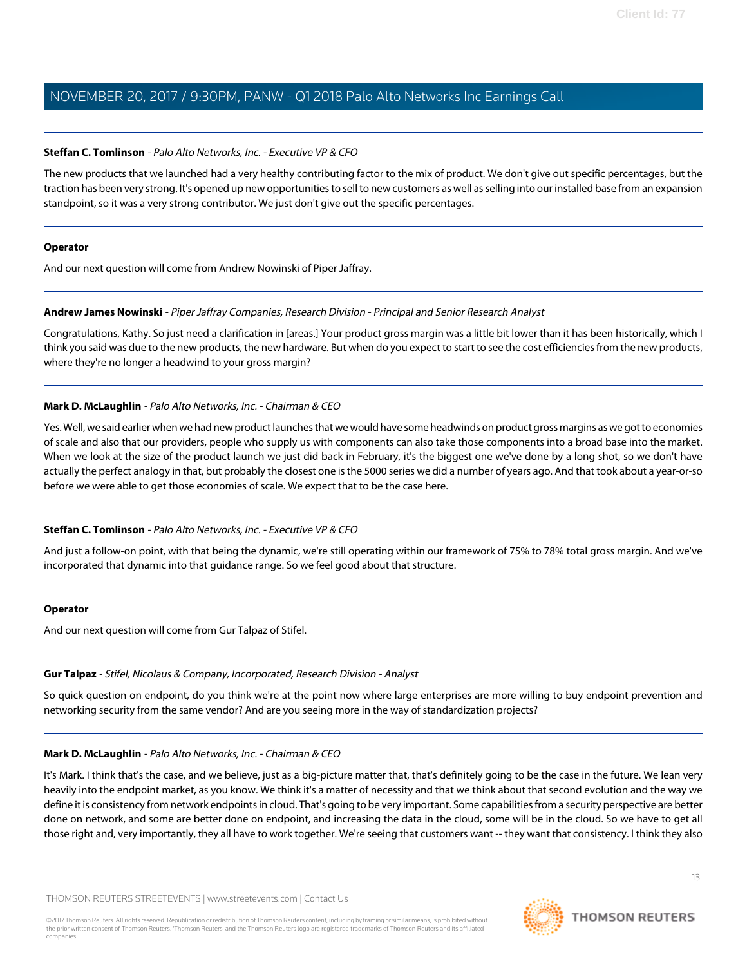### **Steffan C. Tomlinson** - Palo Alto Networks, Inc. - Executive VP & CFO

The new products that we launched had a very healthy contributing factor to the mix of product. We don't give out specific percentages, but the traction has been very strong. It's opened up new opportunities to sell to new customers as well as selling into our installed base from an expansion standpoint, so it was a very strong contributor. We just don't give out the specific percentages.

#### **Operator**

<span id="page-12-0"></span>And our next question will come from Andrew Nowinski of Piper Jaffray.

### **Andrew James Nowinski** - Piper Jaffray Companies, Research Division - Principal and Senior Research Analyst

Congratulations, Kathy. So just need a clarification in [areas.] Your product gross margin was a little bit lower than it has been historically, which I think you said was due to the new products, the new hardware. But when do you expect to start to see the cost efficiencies from the new products, where they're no longer a headwind to your gross margin?

### **Mark D. McLaughlin** - Palo Alto Networks, Inc. - Chairman & CEO

Yes. Well, we said earlier when we had new product launches that we would have some headwinds on product gross margins as we got to economies of scale and also that our providers, people who supply us with components can also take those components into a broad base into the market. When we look at the size of the product launch we just did back in February, it's the biggest one we've done by a long shot, so we don't have actually the perfect analogy in that, but probably the closest one is the 5000 series we did a number of years ago. And that took about a year-or-so before we were able to get those economies of scale. We expect that to be the case here.

### **Steffan C. Tomlinson** - Palo Alto Networks, Inc. - Executive VP & CFO

And just a follow-on point, with that being the dynamic, we're still operating within our framework of 75% to 78% total gross margin. And we've incorporated that dynamic into that guidance range. So we feel good about that structure.

### <span id="page-12-1"></span>**Operator**

And our next question will come from Gur Talpaz of Stifel.

### **Gur Talpaz** - Stifel, Nicolaus & Company, Incorporated, Research Division - Analyst

So quick question on endpoint, do you think we're at the point now where large enterprises are more willing to buy endpoint prevention and networking security from the same vendor? And are you seeing more in the way of standardization projects?

### **Mark D. McLaughlin** - Palo Alto Networks, Inc. - Chairman & CEO

It's Mark. I think that's the case, and we believe, just as a big-picture matter that, that's definitely going to be the case in the future. We lean very heavily into the endpoint market, as you know. We think it's a matter of necessity and that we think about that second evolution and the way we define it is consistency from network endpoints in cloud. That's going to be very important. Some capabilities from a security perspective are better done on network, and some are better done on endpoint, and increasing the data in the cloud, some will be in the cloud. So we have to get all those right and, very importantly, they all have to work together. We're seeing that customers want -- they want that consistency. I think they also

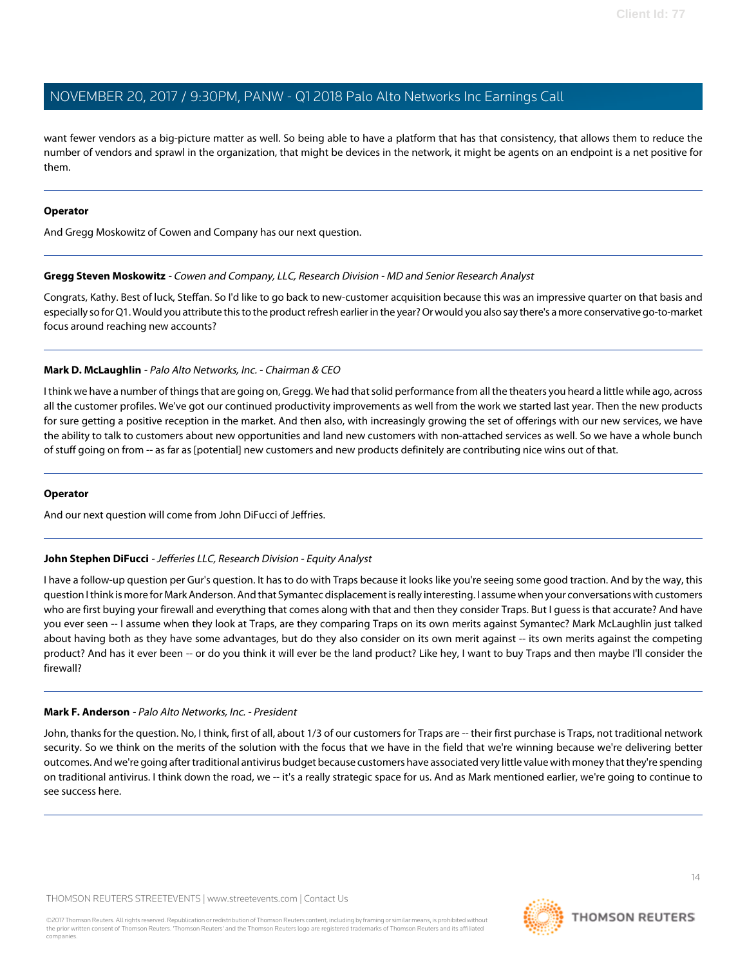want fewer vendors as a big-picture matter as well. So being able to have a platform that has that consistency, that allows them to reduce the number of vendors and sprawl in the organization, that might be devices in the network, it might be agents on an endpoint is a net positive for them.

### **Operator**

<span id="page-13-0"></span>And Gregg Moskowitz of Cowen and Company has our next question.

### **Gregg Steven Moskowitz** - Cowen and Company, LLC, Research Division - MD and Senior Research Analyst

Congrats, Kathy. Best of luck, Steffan. So I'd like to go back to new-customer acquisition because this was an impressive quarter on that basis and especially so for Q1. Would you attribute this to the product refresh earlier in the year? Or would you also say there's a more conservative go-to-market focus around reaching new accounts?

### **Mark D. McLaughlin** - Palo Alto Networks, Inc. - Chairman & CEO

I think we have a number of things that are going on, Gregg. We had that solid performance from all the theaters you heard a little while ago, across all the customer profiles. We've got our continued productivity improvements as well from the work we started last year. Then the new products for sure getting a positive reception in the market. And then also, with increasingly growing the set of offerings with our new services, we have the ability to talk to customers about new opportunities and land new customers with non-attached services as well. So we have a whole bunch of stuff going on from -- as far as [potential] new customers and new products definitely are contributing nice wins out of that.

### <span id="page-13-1"></span>**Operator**

And our next question will come from John DiFucci of Jeffries.

# **John Stephen DiFucci** - Jefferies LLC, Research Division - Equity Analyst

I have a follow-up question per Gur's question. It has to do with Traps because it looks like you're seeing some good traction. And by the way, this question I think is more for Mark Anderson. And that Symantec displacement is really interesting. I assume when your conversations with customers who are first buying your firewall and everything that comes along with that and then they consider Traps. But I guess is that accurate? And have you ever seen -- I assume when they look at Traps, are they comparing Traps on its own merits against Symantec? Mark McLaughlin just talked about having both as they have some advantages, but do they also consider on its own merit against -- its own merits against the competing product? And has it ever been -- or do you think it will ever be the land product? Like hey, I want to buy Traps and then maybe I'll consider the firewall?

# **Mark F. Anderson** - Palo Alto Networks, Inc. - President

John, thanks for the question. No, I think, first of all, about 1/3 of our customers for Traps are -- their first purchase is Traps, not traditional network security. So we think on the merits of the solution with the focus that we have in the field that we're winning because we're delivering better outcomes. And we're going after traditional antivirus budget because customers have associated very little value with money that they're spending on traditional antivirus. I think down the road, we -- it's a really strategic space for us. And as Mark mentioned earlier, we're going to continue to see success here.

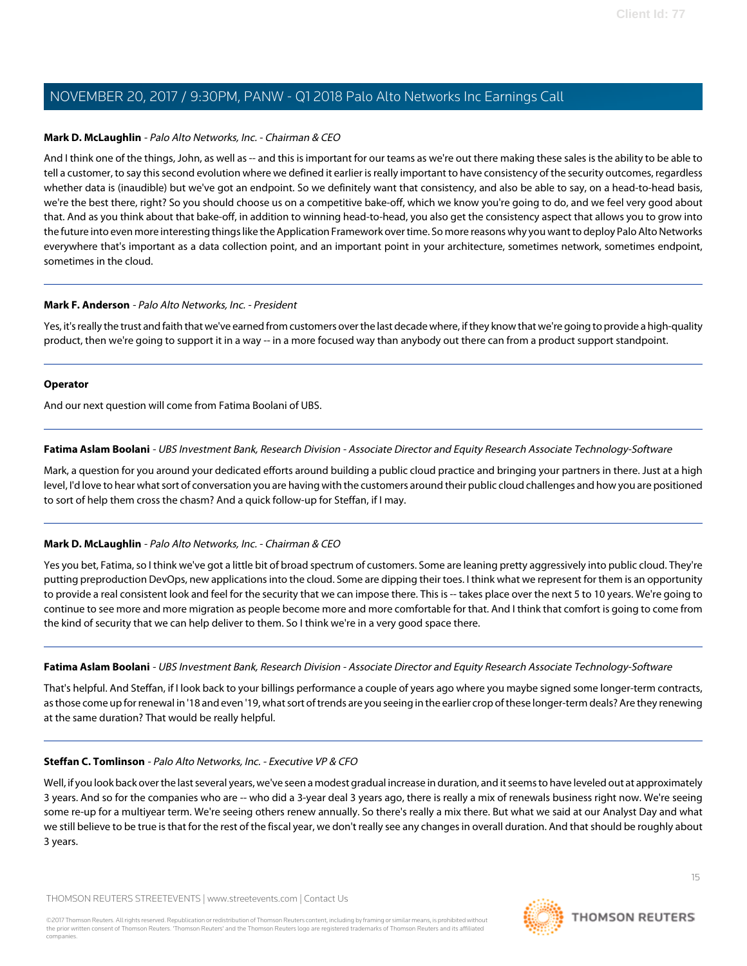### **Mark D. McLaughlin** - Palo Alto Networks, Inc. - Chairman & CEO

And I think one of the things, John, as well as -- and this is important for our teams as we're out there making these sales is the ability to be able to tell a customer, to say this second evolution where we defined it earlier is really important to have consistency of the security outcomes, regardless whether data is (inaudible) but we've got an endpoint. So we definitely want that consistency, and also be able to say, on a head-to-head basis, we're the best there, right? So you should choose us on a competitive bake-off, which we know you're going to do, and we feel very good about that. And as you think about that bake-off, in addition to winning head-to-head, you also get the consistency aspect that allows you to grow into the future into even more interesting things like the Application Framework over time. So more reasons why you want to deploy Palo Alto Networks everywhere that's important as a data collection point, and an important point in your architecture, sometimes network, sometimes endpoint, sometimes in the cloud.

### **Mark F. Anderson** - Palo Alto Networks, Inc. - President

Yes, it's really the trust and faith that we've earned from customers over the last decade where, if they know that we're going to provide a high-quality product, then we're going to support it in a way -- in a more focused way than anybody out there can from a product support standpoint.

### **Operator**

<span id="page-14-0"></span>And our next question will come from Fatima Boolani of UBS.

### **Fatima Aslam Boolani** - UBS Investment Bank, Research Division - Associate Director and Equity Research Associate Technology-Software

Mark, a question for you around your dedicated efforts around building a public cloud practice and bringing your partners in there. Just at a high level, I'd love to hear what sort of conversation you are having with the customers around their public cloud challenges and how you are positioned to sort of help them cross the chasm? And a quick follow-up for Steffan, if I may.

# **Mark D. McLaughlin** - Palo Alto Networks, Inc. - Chairman & CEO

Yes you bet, Fatima, so I think we've got a little bit of broad spectrum of customers. Some are leaning pretty aggressively into public cloud. They're putting preproduction DevOps, new applications into the cloud. Some are dipping their toes. I think what we represent for them is an opportunity to provide a real consistent look and feel for the security that we can impose there. This is -- takes place over the next 5 to 10 years. We're going to continue to see more and more migration as people become more and more comfortable for that. And I think that comfort is going to come from the kind of security that we can help deliver to them. So I think we're in a very good space there.

### **Fatima Aslam Boolani** - UBS Investment Bank, Research Division - Associate Director and Equity Research Associate Technology-Software

That's helpful. And Steffan, if I look back to your billings performance a couple of years ago where you maybe signed some longer-term contracts, as those come up for renewal in '18 and even '19, what sort of trends are you seeing in the earlier crop of these longer-term deals? Are they renewing at the same duration? That would be really helpful.

# **Steffan C. Tomlinson** - Palo Alto Networks, Inc. - Executive VP & CFO

Well, if you look back over the last several years, we've seen a modest gradual increase in duration, and it seems to have leveled out at approximately 3 years. And so for the companies who are -- who did a 3-year deal 3 years ago, there is really a mix of renewals business right now. We're seeing some re-up for a multiyear term. We're seeing others renew annually. So there's really a mix there. But what we said at our Analyst Day and what we still believe to be true is that for the rest of the fiscal year, we don't really see any changes in overall duration. And that should be roughly about 3 years.

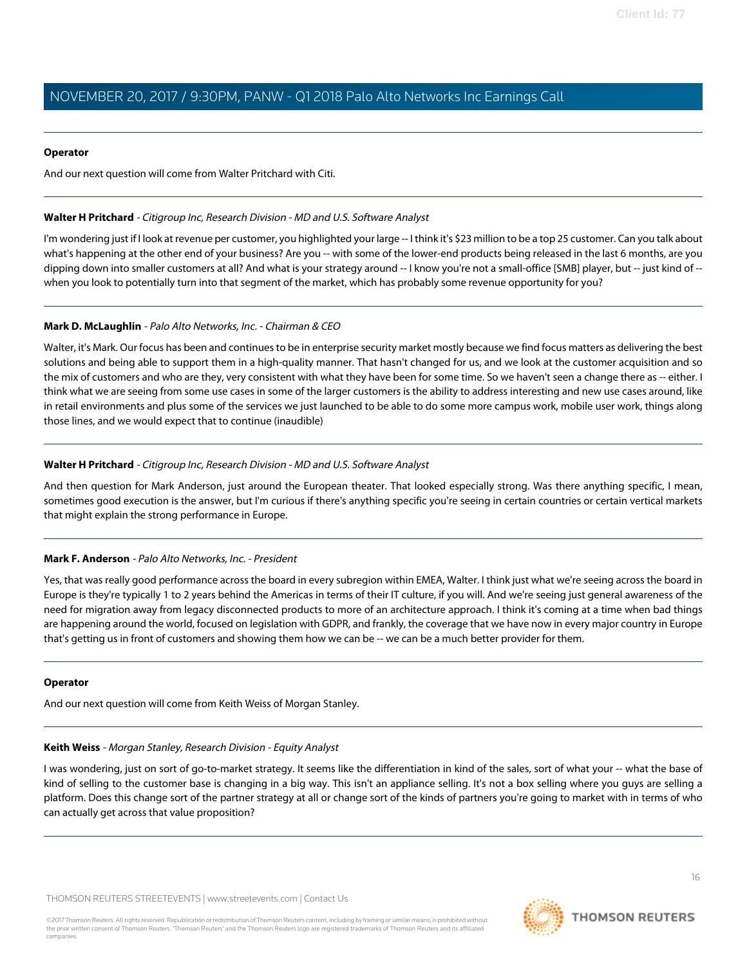### **Operator**

And our next question will come from Walter Pritchard with Citi.

### <span id="page-15-1"></span>**Walter H Pritchard** - Citigroup Inc, Research Division - MD and U.S. Software Analyst

I'm wondering just if I look at revenue per customer, you highlighted your large -- I think it's \$23 million to be a top 25 customer. Can you talk about what's happening at the other end of your business? Are you -- with some of the lower-end products being released in the last 6 months, are you dipping down into smaller customers at all? And what is your strategy around -- I know you're not a small-office [SMB] player, but -- just kind of - when you look to potentially turn into that segment of the market, which has probably some revenue opportunity for you?

# **Mark D. McLaughlin** - Palo Alto Networks, Inc. - Chairman & CEO

Walter, it's Mark. Our focus has been and continues to be in enterprise security market mostly because we find focus matters as delivering the best solutions and being able to support them in a high-quality manner. That hasn't changed for us, and we look at the customer acquisition and so the mix of customers and who are they, very consistent with what they have been for some time. So we haven't seen a change there as -- either. I think what we are seeing from some use cases in some of the larger customers is the ability to address interesting and new use cases around, like in retail environments and plus some of the services we just launched to be able to do some more campus work, mobile user work, things along those lines, and we would expect that to continue (inaudible)

# **Walter H Pritchard** - Citigroup Inc, Research Division - MD and U.S. Software Analyst

And then question for Mark Anderson, just around the European theater. That looked especially strong. Was there anything specific, I mean, sometimes good execution is the answer, but I'm curious if there's anything specific you're seeing in certain countries or certain vertical markets that might explain the strong performance in Europe.

# **Mark F. Anderson** - Palo Alto Networks, Inc. - President

Yes, that was really good performance across the board in every subregion within EMEA, Walter. I think just what we're seeing across the board in Europe is they're typically 1 to 2 years behind the Americas in terms of their IT culture, if you will. And we're seeing just general awareness of the need for migration away from legacy disconnected products to more of an architecture approach. I think it's coming at a time when bad things are happening around the world, focused on legislation with GDPR, and frankly, the coverage that we have now in every major country in Europe that's getting us in front of customers and showing them how we can be -- we can be a much better provider for them.

### <span id="page-15-0"></span>**Operator**

And our next question will come from Keith Weiss of Morgan Stanley.

### **Keith Weiss** - Morgan Stanley, Research Division - Equity Analyst

I was wondering, just on sort of go-to-market strategy. It seems like the differentiation in kind of the sales, sort of what your -- what the base of kind of selling to the customer base is changing in a big way. This isn't an appliance selling. It's not a box selling where you guys are selling a platform. Does this change sort of the partner strategy at all or change sort of the kinds of partners you're going to market with in terms of who can actually get across that value proposition?

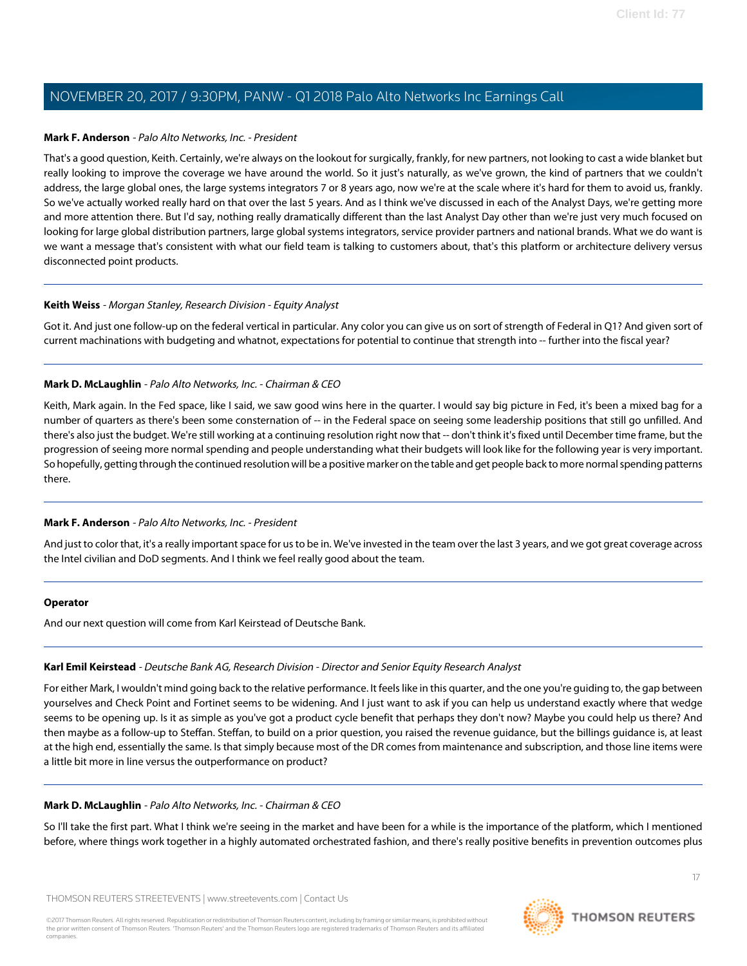### **Mark F. Anderson** - Palo Alto Networks, Inc. - President

That's a good question, Keith. Certainly, we're always on the lookout for surgically, frankly, for new partners, not looking to cast a wide blanket but really looking to improve the coverage we have around the world. So it just's naturally, as we've grown, the kind of partners that we couldn't address, the large global ones, the large systems integrators 7 or 8 years ago, now we're at the scale where it's hard for them to avoid us, frankly. So we've actually worked really hard on that over the last 5 years. And as I think we've discussed in each of the Analyst Days, we're getting more and more attention there. But I'd say, nothing really dramatically different than the last Analyst Day other than we're just very much focused on looking for large global distribution partners, large global systems integrators, service provider partners and national brands. What we do want is we want a message that's consistent with what our field team is talking to customers about, that's this platform or architecture delivery versus disconnected point products.

### **Keith Weiss** - Morgan Stanley, Research Division - Equity Analyst

Got it. And just one follow-up on the federal vertical in particular. Any color you can give us on sort of strength of Federal in Q1? And given sort of current machinations with budgeting and whatnot, expectations for potential to continue that strength into -- further into the fiscal year?

### **Mark D. McLaughlin** - Palo Alto Networks, Inc. - Chairman & CEO

Keith, Mark again. In the Fed space, like I said, we saw good wins here in the quarter. I would say big picture in Fed, it's been a mixed bag for a number of quarters as there's been some consternation of -- in the Federal space on seeing some leadership positions that still go unfilled. And there's also just the budget. We're still working at a continuing resolution right now that -- don't think it's fixed until December time frame, but the progression of seeing more normal spending and people understanding what their budgets will look like for the following year is very important. So hopefully, getting through the continued resolution will be a positive marker on the table and get people back to more normal spending patterns there.

### **Mark F. Anderson** - Palo Alto Networks, Inc. - President

And just to color that, it's a really important space for us to be in. We've invested in the team over the last 3 years, and we got great coverage across the Intel civilian and DoD segments. And I think we feel really good about the team.

### <span id="page-16-0"></span>**Operator**

And our next question will come from Karl Keirstead of Deutsche Bank.

# **Karl Emil Keirstead** - Deutsche Bank AG, Research Division - Director and Senior Equity Research Analyst

For either Mark, I wouldn't mind going back to the relative performance. It feels like in this quarter, and the one you're guiding to, the gap between yourselves and Check Point and Fortinet seems to be widening. And I just want to ask if you can help us understand exactly where that wedge seems to be opening up. Is it as simple as you've got a product cycle benefit that perhaps they don't now? Maybe you could help us there? And then maybe as a follow-up to Steffan. Steffan, to build on a prior question, you raised the revenue guidance, but the billings guidance is, at least at the high end, essentially the same. Is that simply because most of the DR comes from maintenance and subscription, and those line items were a little bit more in line versus the outperformance on product?

### **Mark D. McLaughlin** - Palo Alto Networks, Inc. - Chairman & CEO

So I'll take the first part. What I think we're seeing in the market and have been for a while is the importance of the platform, which I mentioned before, where things work together in a highly automated orchestrated fashion, and there's really positive benefits in prevention outcomes plus

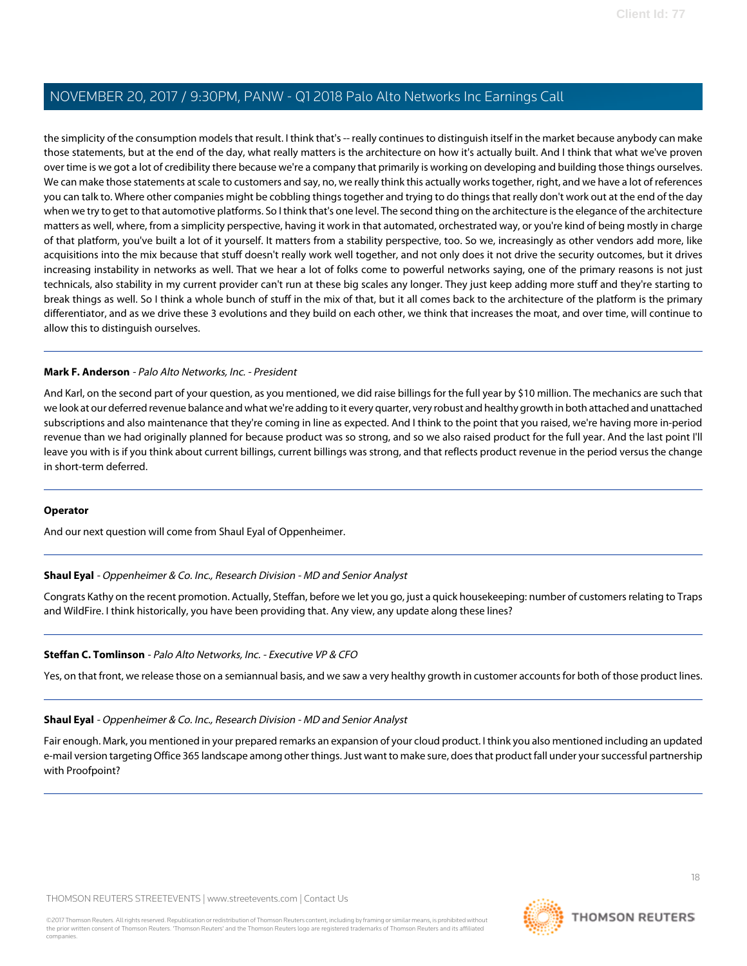the simplicity of the consumption models that result. I think that's -- really continues to distinguish itself in the market because anybody can make those statements, but at the end of the day, what really matters is the architecture on how it's actually built. And I think that what we've proven over time is we got a lot of credibility there because we're a company that primarily is working on developing and building those things ourselves. We can make those statements at scale to customers and say, no, we really think this actually works together, right, and we have a lot of references you can talk to. Where other companies might be cobbling things together and trying to do things that really don't work out at the end of the day when we try to get to that automotive platforms. So I think that's one level. The second thing on the architecture is the elegance of the architecture matters as well, where, from a simplicity perspective, having it work in that automated, orchestrated way, or you're kind of being mostly in charge of that platform, you've built a lot of it yourself. It matters from a stability perspective, too. So we, increasingly as other vendors add more, like acquisitions into the mix because that stuff doesn't really work well together, and not only does it not drive the security outcomes, but it drives increasing instability in networks as well. That we hear a lot of folks come to powerful networks saying, one of the primary reasons is not just technicals, also stability in my current provider can't run at these big scales any longer. They just keep adding more stuff and they're starting to break things as well. So I think a whole bunch of stuff in the mix of that, but it all comes back to the architecture of the platform is the primary differentiator, and as we drive these 3 evolutions and they build on each other, we think that increases the moat, and over time, will continue to allow this to distinguish ourselves.

### **Mark F. Anderson** - Palo Alto Networks, Inc. - President

And Karl, on the second part of your question, as you mentioned, we did raise billings for the full year by \$10 million. The mechanics are such that we look at our deferred revenue balance and what we're adding to it every quarter, very robust and healthy growth in both attached and unattached subscriptions and also maintenance that they're coming in line as expected. And I think to the point that you raised, we're having more in-period revenue than we had originally planned for because product was so strong, and so we also raised product for the full year. And the last point I'll leave you with is if you think about current billings, current billings was strong, and that reflects product revenue in the period versus the change in short-term deferred.

### <span id="page-17-0"></span>**Operator**

And our next question will come from Shaul Eyal of Oppenheimer.

### **Shaul Eyal** - Oppenheimer & Co. Inc., Research Division - MD and Senior Analyst

Congrats Kathy on the recent promotion. Actually, Steffan, before we let you go, just a quick housekeeping: number of customers relating to Traps and WildFire. I think historically, you have been providing that. Any view, any update along these lines?

### **Steffan C. Tomlinson** - Palo Alto Networks, Inc. - Executive VP & CFO

Yes, on that front, we release those on a semiannual basis, and we saw a very healthy growth in customer accounts for both of those product lines.

### **Shaul Eyal** - Oppenheimer & Co. Inc., Research Division - MD and Senior Analyst

Fair enough. Mark, you mentioned in your prepared remarks an expansion of your cloud product. I think you also mentioned including an updated e-mail version targeting Office 365 landscape among other things. Just want to make sure, does that product fall under your successful partnership with Proofpoint?

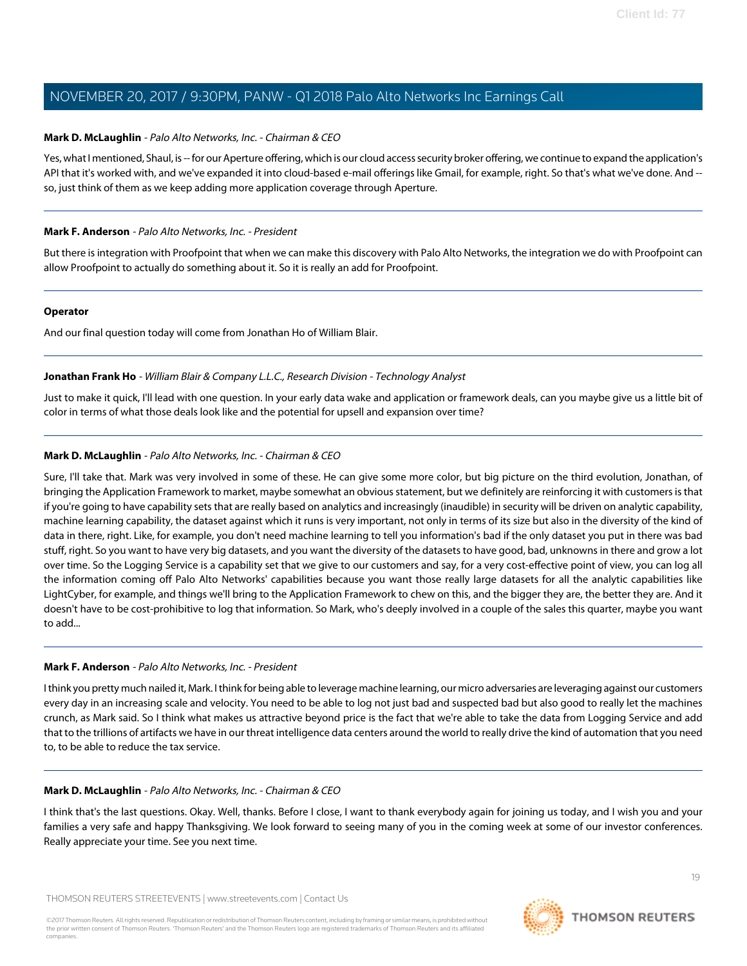### **Mark D. McLaughlin** - Palo Alto Networks, Inc. - Chairman & CEO

Yes, what I mentioned, Shaul, is -- for our Aperture offering, which is our cloud access security broker offering, we continue to expand the application's API that it's worked with, and we've expanded it into cloud-based e-mail offerings like Gmail, for example, right. So that's what we've done. And - so, just think of them as we keep adding more application coverage through Aperture.

### **Mark F. Anderson** - Palo Alto Networks, Inc. - President

But there is integration with Proofpoint that when we can make this discovery with Palo Alto Networks, the integration we do with Proofpoint can allow Proofpoint to actually do something about it. So it is really an add for Proofpoint.

### **Operator**

<span id="page-18-0"></span>And our final question today will come from Jonathan Ho of William Blair.

### **Jonathan Frank Ho** - William Blair & Company L.L.C., Research Division - Technology Analyst

Just to make it quick, I'll lead with one question. In your early data wake and application or framework deals, can you maybe give us a little bit of color in terms of what those deals look like and the potential for upsell and expansion over time?

# **Mark D. McLaughlin** - Palo Alto Networks, Inc. - Chairman & CEO

Sure, I'll take that. Mark was very involved in some of these. He can give some more color, but big picture on the third evolution, Jonathan, of bringing the Application Framework to market, maybe somewhat an obvious statement, but we definitely are reinforcing it with customers is that if you're going to have capability sets that are really based on analytics and increasingly (inaudible) in security will be driven on analytic capability, machine learning capability, the dataset against which it runs is very important, not only in terms of its size but also in the diversity of the kind of data in there, right. Like, for example, you don't need machine learning to tell you information's bad if the only dataset you put in there was bad stuff, right. So you want to have very big datasets, and you want the diversity of the datasets to have good, bad, unknowns in there and grow a lot over time. So the Logging Service is a capability set that we give to our customers and say, for a very cost-effective point of view, you can log all the information coming off Palo Alto Networks' capabilities because you want those really large datasets for all the analytic capabilities like LightCyber, for example, and things we'll bring to the Application Framework to chew on this, and the bigger they are, the better they are. And it doesn't have to be cost-prohibitive to log that information. So Mark, who's deeply involved in a couple of the sales this quarter, maybe you want to add...

# **Mark F. Anderson** - Palo Alto Networks, Inc. - President

I think you pretty much nailed it, Mark. I think for being able to leverage machine learning, our micro adversaries are leveraging against our customers every day in an increasing scale and velocity. You need to be able to log not just bad and suspected bad but also good to really let the machines crunch, as Mark said. So I think what makes us attractive beyond price is the fact that we're able to take the data from Logging Service and add that to the trillions of artifacts we have in our threat intelligence data centers around the world to really drive the kind of automation that you need to, to be able to reduce the tax service.

### **Mark D. McLaughlin** - Palo Alto Networks, Inc. - Chairman & CEO

I think that's the last questions. Okay. Well, thanks. Before I close, I want to thank everybody again for joining us today, and I wish you and your families a very safe and happy Thanksgiving. We look forward to seeing many of you in the coming week at some of our investor conferences. Really appreciate your time. See you next time.